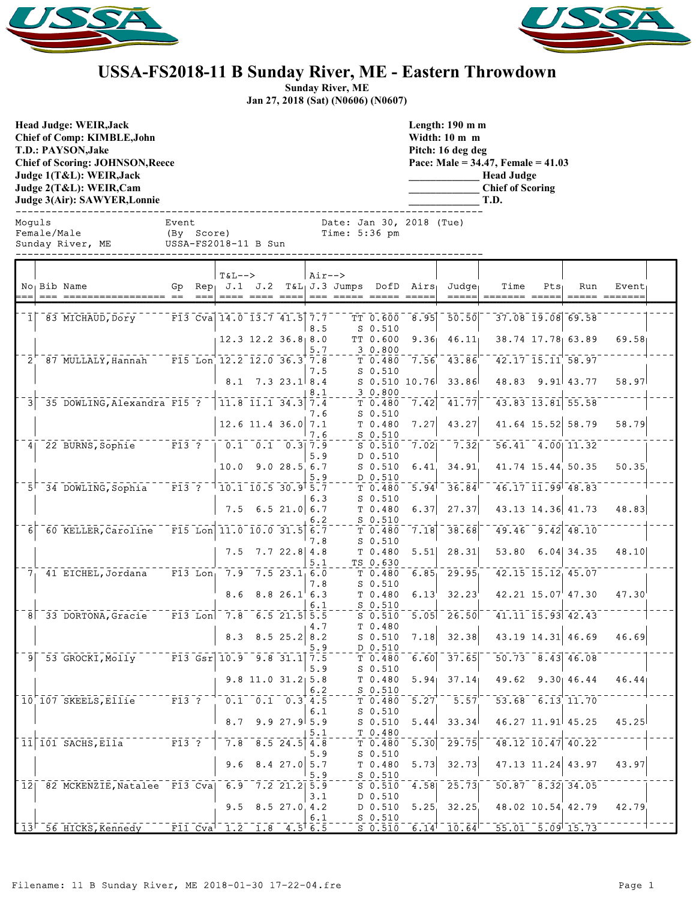



## **USSA-FS2018-11 B Sunday River, ME - Eastern Throwdown**

**Sunday River, ME Jan 27, 2018 (Sat) (N0606) (N0607)**

USSA-FS2018-11 B Sun

**Head Judge: WEIR,Jack Chief of Comp: KIMBLE,John T.D.: PAYSON,Jake Chief of Scoring: JOHNSON,Reece Judge 1(T&L): WEIR,Jack Judge 2(T&L): WEIR,Cam Judge 3(Air): SAWYER,Lonnie** 

**Length: 190 m m Width: 10 m m Pitch: 16 deg deg Pace: Male = 34.47, Female = 41.03 \_\_\_\_\_\_\_\_\_\_\_\_\_ Head Judge**

**\_\_\_\_\_\_\_\_\_\_\_\_\_ Chief of Scoring \_\_\_\_\_\_\_\_\_\_\_\_\_ T.D.**

------------------------------------------------------------------------------ Moguls Event Date: Jan 30, 2018 (Tue) Female/Male (By Score) Time: 5:36 pm

|                |                                                     |                                                   |           | $T&L--$                                             |                                  |                                            | Air--> |                            |                              |                   |                                                             |      |                        |                                                         |       |  |
|----------------|-----------------------------------------------------|---------------------------------------------------|-----------|-----------------------------------------------------|----------------------------------|--------------------------------------------|--------|----------------------------|------------------------------|-------------------|-------------------------------------------------------------|------|------------------------|---------------------------------------------------------|-------|--|
|                | No <sub>1</sub> Bib Name                            | Gp                                                |           | $Rep_1$ J.1 J.2                                     |                                  |                                            |        | $T&L_1J.3$ Jumps DofD Airs |                              |                   | Judge                                                       | Time | $Pts_1$                | Run                                                     | Event |  |
|                |                                                     | $=$ $=$                                           |           |                                                     |                                  |                                            |        |                            |                              |                   |                                                             |      |                        |                                                         |       |  |
|                |                                                     |                                                   |           |                                                     |                                  |                                            |        |                            |                              |                   |                                                             |      |                        |                                                         |       |  |
| 1 <sup>1</sup> | 83 MICHAUD, Dory                                    |                                                   |           | F13 Cva 14.0 13.7 41.5 7.7                          |                                  |                                            |        |                            | TT 0.600                     | 8.95              | 50.50                                                       |      |                        | 37.08 19.08 69.58                                       |       |  |
|                |                                                     |                                                   |           |                                                     |                                  |                                            | 8.5    |                            | $S$ 0.510                    |                   |                                                             |      |                        |                                                         |       |  |
|                |                                                     |                                                   |           |                                                     | $12.3$ $12.2$ $36.8$ 8.0         |                                            |        |                            | TT 0.600                     | 9.36              | 46.11                                                       |      |                        | 38.74 17.78 63.89                                       | 69.58 |  |
|                |                                                     |                                                   |           | $\overline{F15}$ Lon $12.2$ $12.0$ $36.3$ $7.8$     |                                  |                                            | 5.7    |                            | 30.800                       |                   |                                                             |      |                        | 42.17 15.11 58.97                                       |       |  |
| $2^{\circ}$    | 87 MULLALY, Hannah                                  |                                                   |           |                                                     |                                  |                                            |        |                            | T 0.480                      | 7.56'             | 43.86                                                       |      |                        |                                                         |       |  |
|                |                                                     |                                                   |           |                                                     | $8.1$ 7.3 23.1 8.4               |                                            | 7.5    |                            | $S_0.510$<br>$S$ 0.510 10.76 |                   | 33.86                                                       |      |                        | 48.83 9.91 43.77                                        | 58.97 |  |
|                |                                                     |                                                   |           |                                                     |                                  |                                            |        |                            |                              |                   |                                                             |      |                        |                                                         |       |  |
| 3 <sup>1</sup> | 35 DOWLING, Alexandra F15 ?                         |                                                   |           |                                                     | $11.8$ $11.1$ $34.3$ $7.4$       |                                            | 8.1    |                            | 30.800<br>T 0.480            | 7.42              | 41.77                                                       |      |                        | $43.83$ <sup>-13.81</sup> 55.58                         |       |  |
|                |                                                     |                                                   |           |                                                     |                                  |                                            | 7.6    |                            | $S$ $0.510$                  |                   |                                                             |      |                        |                                                         |       |  |
|                |                                                     |                                                   |           |                                                     | $12.6$ 11.4 36.0 7.1             |                                            |        |                            | T 0.480                      | 7.27              | 43.27                                                       |      |                        | 41.64 15.52 58.79                                       | 58.79 |  |
|                |                                                     |                                                   |           |                                                     |                                  |                                            | 7.6    |                            | $S$ 0.510                    |                   |                                                             |      |                        |                                                         |       |  |
|                | 4 22 BURNS, Sophie                                  | $^{\circ}$ $^{\circ}$ F13 $^{\circ}$ ? $^{\circ}$ |           |                                                     | $0.1 \quad 0.1 \quad 0.3$ 7.9    |                                            |        |                            | $S$ 0.510                    | 7.021             | $\overline{7}$ . $\overline{3}$ $\overline{2}$ <sub>I</sub> |      |                        | $56.41 - 4.00 - 11.32$                                  |       |  |
|                |                                                     |                                                   |           |                                                     |                                  |                                            | 5.9    |                            | D 0.510                      |                   |                                                             |      |                        |                                                         |       |  |
|                |                                                     |                                                   |           | 10.0                                                |                                  | 9.028.56.7                                 |        |                            | $S$ 0.510                    | 6.41              | 34.91                                                       |      |                        | 41.74 15.44 50.35                                       | 50.35 |  |
|                |                                                     |                                                   |           |                                                     |                                  |                                            | 5.9    |                            | D 0.510                      |                   |                                                             |      |                        |                                                         |       |  |
|                | $5^{\dagger}$ 34 DOWLING, Sophia                    | $\overline{F13}$ ?                                |           | $\overline{1}$ 10.1 $\overline{1}$ 0.5 30.9 5.7     |                                  |                                            |        |                            | T 0.480                      | 5.94              | 36.84                                                       |      |                        | $46.17$ $11.99$ $48.83$                                 |       |  |
|                |                                                     |                                                   |           |                                                     |                                  |                                            | 6.3    |                            | $S$ 0.510                    |                   |                                                             |      |                        |                                                         |       |  |
|                |                                                     |                                                   |           | 7.5                                                 |                                  | 6.521.06.7                                 |        |                            | T 0.480                      | 6.37              | 27.37                                                       |      |                        | 43.13 14.36 41.73                                       | 48.83 |  |
|                |                                                     |                                                   |           |                                                     |                                  |                                            | 6.2    |                            | $S_0.510$                    |                   |                                                             |      |                        |                                                         |       |  |
| 6              | 60 KELLER, Caroline                                 |                                                   |           | $\bar{F}$ 15 $\bar{L}$ on 11.0 10.0 31.5            |                                  |                                            | 6.7    |                            | T 0.480                      | 7.18              | 38.68                                                       |      |                        | $\overline{49.46}$ $\overline{9.42}$ $\overline{48.10}$ |       |  |
|                |                                                     |                                                   |           |                                                     |                                  |                                            | 7.8    |                            | $S_0.510$                    |                   |                                                             |      |                        |                                                         |       |  |
|                |                                                     |                                                   |           |                                                     | $7.5$ $7.7$ $22.8$ 4.8           |                                            |        |                            | T 0.480                      | 5.51              | 28.31                                                       |      |                        | 53.80 6.04 34.35                                        | 48.10 |  |
|                |                                                     |                                                   |           |                                                     |                                  |                                            | 5.1    |                            | TS 0.630                     |                   |                                                             |      |                        |                                                         |       |  |
|                | $71$ 41 EICHEL, Jordana                             |                                                   | $F13$ Lon |                                                     | $7.9$ $7.5$ $23.1$ 6.0           |                                            |        |                            | T 0.480                      | 6.85              | 29.95                                                       |      | 42.15 15.12 45.07      |                                                         |       |  |
|                |                                                     |                                                   |           |                                                     |                                  |                                            | 7.8    |                            | $S_0.510$                    |                   |                                                             |      |                        |                                                         |       |  |
|                |                                                     |                                                   |           | 8.6                                                 |                                  | 8.826.16.3                                 |        |                            | T 0.480                      | 6.13              | 32.23                                                       |      |                        | 42.21 15.07 47.30                                       | 47.30 |  |
|                |                                                     |                                                   |           |                                                     |                                  |                                            | 6.1    |                            | $S_0.510$                    |                   |                                                             |      |                        |                                                         |       |  |
|                | 8 33 DORTONA, Gracie                                |                                                   |           | $\begin{bmatrix} 13 & \text{Lon} \end{bmatrix}$ 7.8 |                                  | $-6.5$ 21.5 5.5                            |        |                            | $S$ 0.510                    | 5.05              | 26.50                                                       |      |                        | $41.11$ $15.93$ $42.43$                                 |       |  |
|                |                                                     |                                                   |           |                                                     |                                  |                                            | 4.7    |                            | T 0.480                      |                   |                                                             |      |                        |                                                         |       |  |
|                |                                                     |                                                   |           |                                                     | 8.3 8.5 25.2 8.2                 |                                            |        |                            | $S$ 0.510                    | 7.18              | 32.38                                                       |      |                        | 43.19 14.31 46.69                                       | 46.69 |  |
|                |                                                     |                                                   |           |                                                     |                                  |                                            | 5.9    |                            | D 0.510                      |                   |                                                             |      |                        |                                                         |       |  |
|                | $9$ $53$ GROCKI, Molly                              |                                                   |           | $\sqrt{5}$ F13 Gsr 10.9 9.8 31.1 7.5                |                                  |                                            |        |                            | T 0.480                      | 6.60              | 37.65                                                       |      | $50.73$ $8.43$ $46.08$ |                                                         |       |  |
|                |                                                     |                                                   |           |                                                     |                                  |                                            | 5.9    |                            | $S$ 0.510                    |                   |                                                             |      |                        |                                                         |       |  |
|                |                                                     |                                                   |           |                                                     | $9.8$ 11.0 31.2 5.8              |                                            |        |                            | T 0.480                      | 5.94 <sub>1</sub> | 37.14                                                       |      |                        | 49.62 9.30 46.44                                        | 46.44 |  |
|                |                                                     |                                                   |           |                                                     |                                  |                                            | 6.2    |                            | $S$ 0.510                    |                   |                                                             |      |                        |                                                         |       |  |
|                | 10 107 SKEELS, Ellie                                | $\overline{F13}$ ?                                |           |                                                     | $0.1\quad 0.1\quad 0.3\quad 4.5$ |                                            |        |                            | T 0.480                      | 5.27              | 5.57                                                        |      |                        | 53.68 6.13 11.70                                        |       |  |
|                |                                                     |                                                   |           |                                                     |                                  |                                            | 6.1    |                            | $S_0.510$                    |                   |                                                             |      |                        |                                                         |       |  |
|                |                                                     |                                                   |           | 8.7                                                 |                                  | 9.927.95.9                                 |        |                            | $S_0.510$                    | 5.44              | 33.34                                                       |      |                        | 46.27 11.91 45.25                                       | 45.25 |  |
|                |                                                     |                                                   |           |                                                     |                                  |                                            | 5.1    |                            | T 0.480                      |                   |                                                             |      |                        |                                                         |       |  |
|                | $11 101$ SACHS, Ella                                | $\overline{F13}$ $\overline{?}$                   |           | 7.8                                                 |                                  | $\begin{bmatrix} 8.5 & 24.5 \end{bmatrix}$ | 4.8    |                            | T 0.480                      | 5.30              | 29.75                                                       |      |                        | $148.12$ $10.47$ $40.22$                                |       |  |
|                |                                                     |                                                   |           |                                                     |                                  |                                            | 5.9    |                            | $S$ 0.510                    |                   |                                                             |      |                        |                                                         |       |  |
|                |                                                     |                                                   |           |                                                     | $9.6$ $8.4$ 27.0                 |                                            | 5.7    |                            | T 0.480                      | 5.73              | 32.73                                                       |      |                        | 47.13 11.24 43.97                                       | 43.97 |  |
|                | 12  82 MCKENZIE, Natalee F13 Cva  6.9 7.2 21.2  5.9 |                                                   |           |                                                     |                                  |                                            | 5.9    |                            | $S_0.510$                    |                   | 25.73                                                       |      |                        | $50.87 - 8.32$ 34.05                                    |       |  |
|                |                                                     |                                                   |           |                                                     |                                  |                                            |        |                            | $S$ 0.510                    | 4.58              |                                                             |      |                        |                                                         |       |  |
|                |                                                     |                                                   |           | 9.5                                                 |                                  | $8.5$ 27.0 4.2                             | 3.1    |                            | D 0.510                      |                   | 32.25                                                       |      |                        |                                                         | 42.79 |  |
|                |                                                     |                                                   |           |                                                     |                                  |                                            | 6.1    |                            | D 0.510<br>$S_0.510$         | 5.25              |                                                             |      |                        | 48.02 10.54 42.79                                       |       |  |
|                | 13 56 HICKS, Kennedy                                |                                                   |           | F11 Cva 1.2 1.8 $4.5^{\circ}$ 6.5                   |                                  |                                            |        |                            | $S$ 0.510                    | 6.14              | $10.64^{\dagger}$                                           |      |                        | $55.01$ $5.09$ 15.73                                    |       |  |
|                |                                                     |                                                   |           |                                                     |                                  |                                            |        |                            |                              |                   |                                                             |      |                        |                                                         |       |  |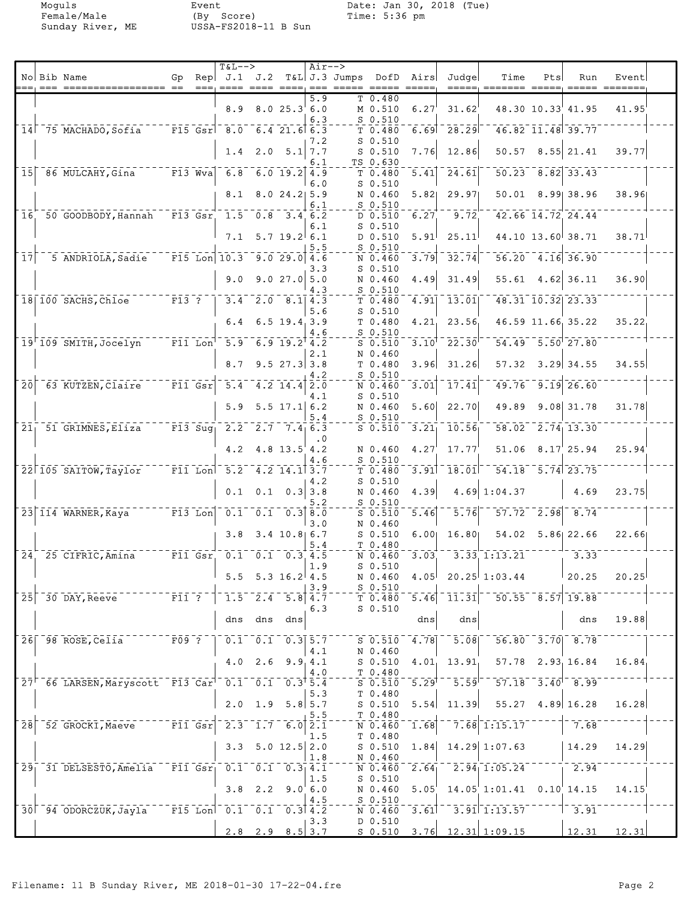Moguls Event Date: Jan 30, 2018 (Tue)<br>Female/Male (By Score) Time: 5:36 pm

|                 |                                                              |                         |                                                             | $T&L-->$                                                                                               |                                       |                        | $Air--$          |                    |                               |                                |                                                                             |                                                                            |                        |                         |                 |  |
|-----------------|--------------------------------------------------------------|-------------------------|-------------------------------------------------------------|--------------------------------------------------------------------------------------------------------|---------------------------------------|------------------------|------------------|--------------------|-------------------------------|--------------------------------|-----------------------------------------------------------------------------|----------------------------------------------------------------------------|------------------------|-------------------------|-----------------|--|
|                 | No Bib Name<br>$==  =  =  =  =  = $                          | Gp                      |                                                             | Rep $J.1$ $J.2$                                                                                        |                                       |                        |                  | T&L J.3 Jumps DofD |                               | Airs                           | Judge<br>_____                                                              | Time                                                                       | Pts                    | Run                     | Event           |  |
|                 |                                                              |                         |                                                             |                                                                                                        |                                       |                        | $5.\overline{9}$ |                    | $\overline{T}$ 0.480          |                                |                                                                             |                                                                            |                        |                         |                 |  |
|                 |                                                              |                         |                                                             | 8.9                                                                                                    |                                       | 8.025.36.0             | 6.3              |                    | M 0.510<br>$S_0.510$          | 6.27                           | 31.62                                                                       |                                                                            |                        | 48.30 10.33 41.95       | 41.95           |  |
|                 | $14$ <sup><math>-75</math></sup> MACHADO, Sofia              |                         |                                                             | $\overline{F15}$ $\overline{Gsr}$ $\overline{8.0}$ $\overline{6.4}$ $\overline{21.6}$ $\overline{6.3}$ |                                       |                        |                  |                    | T 0.480                       |                                | $6.69 - 28.29$                                                              |                                                                            | $46.82$ $11.48$ 39.77  |                         |                 |  |
|                 |                                                              |                         |                                                             |                                                                                                        | $1.4$ 2.0 5.1 7.7                     |                        | 7.2              |                    | $S$ 0.510<br>$S$ 0.510        | 7.76                           | 12.86                                                                       |                                                                            |                        | $50.57$ $8.55$ 21.41    | 39.77           |  |
|                 |                                                              |                         |                                                             |                                                                                                        |                                       |                        | 6.1              |                    | TS 0.630                      |                                |                                                                             |                                                                            |                        |                         |                 |  |
| 15 <sup>1</sup> | 86 MULCAHY, Gina                                             |                         | $\overline{F13} \overline{W} \overline{v}$ a                | 6.8                                                                                                    |                                       | $6.0$ 19.2 4.9         | 6.0              |                    | $T_{0.480}$<br>$S_0.510$      | 5.41                           | 24.61                                                                       |                                                                            |                        | $50.23 - 8.82$ 33.43    |                 |  |
|                 |                                                              |                         |                                                             | 8.1                                                                                                    |                                       | $8.0$ 24.2 5.9         |                  |                    | N 0.460                       | 5.82                           | 29.97                                                                       |                                                                            |                        | $50.01$ 8.99 38.96      | 38.96           |  |
| 16              | 50 GOODBODY, Hannah                                          |                         |                                                             | $F13$ $Gsr$ $1.5$                                                                                      | 0.8                                   | $3.4\overline{6.2}$    | 6.1              |                    | $S$ 0.510<br>D 0.510          | 6.27                           | 9.72                                                                        |                                                                            |                        | 42.66 14.72 24.44       |                 |  |
|                 |                                                              |                         |                                                             | 7.1                                                                                                    |                                       | $5.7$ 19.2 6.1         | 6.1              |                    | $S$ 0.510<br>D 0.510          | 5.91                           | 25.11                                                                       |                                                                            |                        | 44.10 13.60 38.71       | 38.71           |  |
|                 |                                                              |                         |                                                             |                                                                                                        |                                       |                        | 5.5              |                    | $S$ 0.510                     |                                |                                                                             |                                                                            |                        |                         |                 |  |
| 17              | 5 ANDRIOLA, Sadie                                            |                         |                                                             | $\boxed{F15}$ Lon $\boxed{10.3}$                                                                       |                                       | 9.029.04.6             | 3.3              |                    | N 0.460<br>$S$ 0.510          | 3.79                           | 32.74                                                                       |                                                                            | $56.20 - 4.16 - 36.90$ |                         |                 |  |
|                 |                                                              |                         |                                                             | 9.0                                                                                                    |                                       | 9.027.05.0             |                  |                    | N 0.460                       | 4.49                           | 31.49                                                                       |                                                                            | $55.61$ 4.62 36.11     |                         | 36.90           |  |
|                 | 18 100 SACHS, Chloe                                          | $F13$ ?                 |                                                             |                                                                                                        | $3.4$ 2.0 8.1 4.3                     |                        | 4.3              |                    | $S$ 0.510<br>T 0.480          | 4.91                           | 13.01                                                                       |                                                                            |                        | $48.31$ $10.32$ $23.33$ |                 |  |
|                 |                                                              |                         |                                                             |                                                                                                        |                                       |                        | 5.6              |                    | $S_0.510$                     |                                |                                                                             |                                                                            |                        |                         |                 |  |
|                 |                                                              |                         |                                                             | 6.4                                                                                                    |                                       | $6.5$ 19.4 3.9         | 4.6              |                    | T 0.480<br>$S$ 0.510          | 4.21                           | 23.56                                                                       |                                                                            |                        | 46.59 11.66 35.22       | 35.22           |  |
|                 | 19 109 SMITH, Jocelyn                                        |                         | $\bar{r}$ $\bar{1}$ $\bar{1}$ $\bar{L}$ $\bar{C}$ $\bar{C}$ | $\overline{5.9}$                                                                                       | $6.919.2^{14.2}$                      |                        |                  |                    | $S$ 0.510                     | $3.10^{1}$                     | $^{\scriptscriptstyle -}$ 22.30 $^{\scriptscriptstyle \mathsf{I}}$          |                                                                            |                        | $54.49 - 5.50$ $27.80$  |                 |  |
|                 |                                                              |                         |                                                             | 8.7                                                                                                    |                                       | $9.5$ 27.3 3.8         | 2.1              |                    | N 0.460<br>T 0.480            | 3.96                           | 31.26                                                                       | 57.32                                                                      |                        | $3.29$ 34.55            | 34.55           |  |
| $\overline{20}$ | 63 KUTZEN, Claire                                            |                         | $\lceil \bar{\texttt{F11}} \rceil$ $\bar{\texttt{Gsr}}$     | 5.4                                                                                                    |                                       | $4.2$ 14.4             | 4.2              |                    | $S$ 0.510<br>N 0.460          |                                | 17.41                                                                       | 49.76                                                                      |                        | $\overline{9.19}$ 26.60 |                 |  |
|                 |                                                              |                         |                                                             |                                                                                                        |                                       |                        | 2.0<br>4.1       |                    | $S$ 0.510                     | 3.01                           |                                                                             |                                                                            |                        |                         |                 |  |
|                 |                                                              |                         |                                                             | 5.9                                                                                                    |                                       | $5.5$ 17.1 6.2         | 5.4              |                    | N 0.460<br>$S$ 0.510          | 5.60                           | 22.70                                                                       | 49.89                                                                      |                        | $9.08$ 31.78            | 31.78           |  |
| 21 <sub>1</sub> | 51 GRIMNES, Eliza                                            |                         | $F13$ Sug                                                   | 2.2                                                                                                    |                                       | $2.7$ 7.4 6.3          |                  |                    | $S$ 0.510                     | 3.21                           | 10.56                                                                       | 58.02                                                                      |                        | $2.74$ 13.30            |                 |  |
|                 |                                                              |                         |                                                             | 4.2                                                                                                    |                                       | $4.8$ 13.5 4.2         | . 0              |                    | N 0.460                       | 4.27                           | 17.77                                                                       |                                                                            |                        | 51.06 8.17 25.94        | 25.94           |  |
|                 |                                                              |                         |                                                             |                                                                                                        |                                       |                        | 4.6              |                    | $S$ 0.510                     |                                |                                                                             |                                                                            |                        |                         |                 |  |
|                 | 22 105 SAITOW, Taylor                                        |                         |                                                             | F11 Lon 5.2 4.2 14.1 3.7                                                                               |                                       |                        | 4.2              |                    | T 0.480<br>$S_0.510$          | 3.91                           | 18.01                                                                       |                                                                            | $54.18$ $5.74$ 23.75   |                         |                 |  |
|                 |                                                              |                         |                                                             | 0.1                                                                                                    |                                       | $0.1 \quad 0.3 \, 3.8$ |                  |                    | N 0.460                       | 4.39                           | 4.69                                                                        | 1:04.37                                                                    |                        | 4.69                    | 23.75           |  |
|                 | $23$ 114 WARNER, Kaya                                        |                         | $\overline{F13}$ Lon                                        |                                                                                                        | $0.1 \quad 0.1 \quad 0.3$ 8.0         |                        | 5.2              |                    | $S$ 0.510<br>$S$ 0.510        | 5.46                           | $\overline{5.76}$                                                           |                                                                            | $57.72 - 2.98$         | 8.74                    |                 |  |
|                 |                                                              |                         |                                                             | 3.8                                                                                                    |                                       | $3.4$ 10.8 6.7         | 3.0              |                    | N 0.460<br>$S$ 0.510          | 6.00                           | 16.80                                                                       |                                                                            |                        | 54.02 5.86 22.66        | 22.66           |  |
|                 |                                                              |                         |                                                             |                                                                                                        |                                       |                        | 5.4              |                    | T 0.480                       |                                |                                                                             |                                                                            |                        |                         |                 |  |
|                 | $24$ <sup>-25</sup> CIFRIC, Amina                            |                         |                                                             | $ \texttt{F11}$ Gsr $\texttt{0.1}$ $\texttt{0.1}$ $\texttt{0.3}$ 4.5                                   |                                       |                        | 1.9              |                    | N 0.460<br>$S_0.510$          | 3.03                           |                                                                             | $3.33$ $1:13.21$                                                           |                        | 3.33                    |                 |  |
|                 |                                                              |                         |                                                             |                                                                                                        | 5.5 5.3 16.2 4.5                      |                        |                  |                    | N 0.460                       |                                |                                                                             | $4.05$ $20.25$ $1:03.44$                                                   |                        | 20.25                   | 20.25           |  |
|                 | $25$ 30 DAY, Reeve                                           | $ \bar{F}$ 11 $\bar{?}$ |                                                             |                                                                                                        | $\overline{1.5}^{-}$ $\overline{2.4}$ | $5.8$ 4.7              | 3.9              |                    | $S$ 0.510<br>T0.480           | $\overline{5.46}$              | $\left\lceil \overline{1}\overline{1}.\overline{3}\overline{1}\right\rceil$ | $-50.55 - 8.57$ 19.88                                                      |                        |                         |                 |  |
|                 |                                                              |                         |                                                             |                                                                                                        |                                       |                        | 6.3              |                    | $S$ 0.510                     |                                |                                                                             |                                                                            |                        |                         |                 |  |
|                 |                                                              |                         |                                                             |                                                                                                        | dns dns dns                           |                        |                  |                    |                               | dns                            | dns                                                                         |                                                                            |                        | dns                     | 19.88           |  |
|                 | $26$ <sup>-98</sup> ROSE, Celia <sup>-</sup>                 | $F09$ ?                 |                                                             |                                                                                                        | $0.1 - 0.1 - 0.3$ 5.7                 |                        |                  |                    | $S$ 0.510                     | 4.78                           | 5.08                                                                        |                                                                            |                        | $56.80 - 3.70 - 8.78$   |                 |  |
|                 |                                                              |                         |                                                             | 4.0                                                                                                    | 2.6                                   |                        | 4.1<br>9.9, 4.1  |                    | N 0.460<br>$S$ 0.510          | 4.01                           | 13.91                                                                       |                                                                            |                        | 57.78 2.93 16.84        | 16.84           |  |
|                 | 27 66 LARSEN, Maryscott F13 Car <sup>1</sup> 0.1 0.1 0.3 5.4 |                         |                                                             |                                                                                                        |                                       |                        | 4.0              |                    | T 0.480<br>S <sub>0.510</sub> | $\overline{5.29}$ <sup>T</sup> |                                                                             | $5.59$ <sup><math>-57.18</math></sup> $3.40$ <sup><math>-8.99</math></sup> |                        |                         |                 |  |
|                 |                                                              |                         |                                                             |                                                                                                        |                                       |                        | 5.3              |                    | T 0.480                       |                                |                                                                             |                                                                            |                        |                         |                 |  |
|                 |                                                              |                         |                                                             |                                                                                                        | $2.0$ 1.9 5.8 5.7                     |                        | 5.5              |                    | $S$ 0.510<br>T 0.480          | 5.54                           | 11.39                                                                       |                                                                            |                        | $55.27$ 4.89 16.28      | 16.28           |  |
| $\overline{28}$ | 52 GROCKI, Maeve F11 Gsr 2.3 1.7 6.0 2.1                     |                         |                                                             |                                                                                                        |                                       |                        |                  |                    | N 0.460                       | 1.68                           |                                                                             | $7.\overline{68}$ <sup>-1:15.17</sup>                                      |                        | $-7.68$                 |                 |  |
|                 |                                                              |                         |                                                             |                                                                                                        | $3.3$ 5.0 12.5 2.0                    |                        | 1.5              |                    | T 0.480<br>$S$ 0.510          | 1.84                           |                                                                             | $14.29$ 1:07.63                                                            |                        | 14.29                   | 14.29           |  |
|                 |                                                              |                         |                                                             |                                                                                                        |                                       |                        | 1.8              |                    | N 0.460                       |                                |                                                                             |                                                                            |                        |                         |                 |  |
|                 | 29 31 DELSESTO, Amelia                                       |                         |                                                             | $-$ F11 Gsr <sub>1</sub> 0.1 0.1 0.3 4.1                                                               |                                       |                        | 1.5              |                    | N 0.460<br>$S$ 0.510          | 2.64                           |                                                                             | $\overline{2.94}$ <sub>1</sub> :05.24                                      |                        | $\frac{-1}{2.94}$       |                 |  |
|                 |                                                              |                         |                                                             | 3.8                                                                                                    |                                       | $2.2$ $9.0^{6}$ 6.0    |                  |                    | N 0.460<br>$S$ 0.510          | 5.05'                          |                                                                             | $14.05$ 1:01.41 0.10 14.15                                                 |                        |                         | 14.15           |  |
|                 | 30 94 ODORCZUK, Jayla                                        |                         |                                                             | $\overline{F15}$ Lon <sup>1</sup> 0.1 0.1 0.3 4.2                                                      |                                       |                        | 4.5              |                    | N 0.460                       | 3.61                           |                                                                             | $3.91$ 1:13.57                                                             |                        | $-3.91$                 |                 |  |
|                 |                                                              |                         |                                                             |                                                                                                        | $2.8$ 2.9 $8.5$ 3.7                   |                        | 3.3              |                    | D 0.510                       |                                |                                                                             | $S$ 0.510 3.76 12.31 1:09.15                                               |                        |                         | $12.31$ $12.31$ |  |
|                 |                                                              |                         |                                                             |                                                                                                        |                                       |                        |                  |                    |                               |                                |                                                                             |                                                                            |                        |                         |                 |  |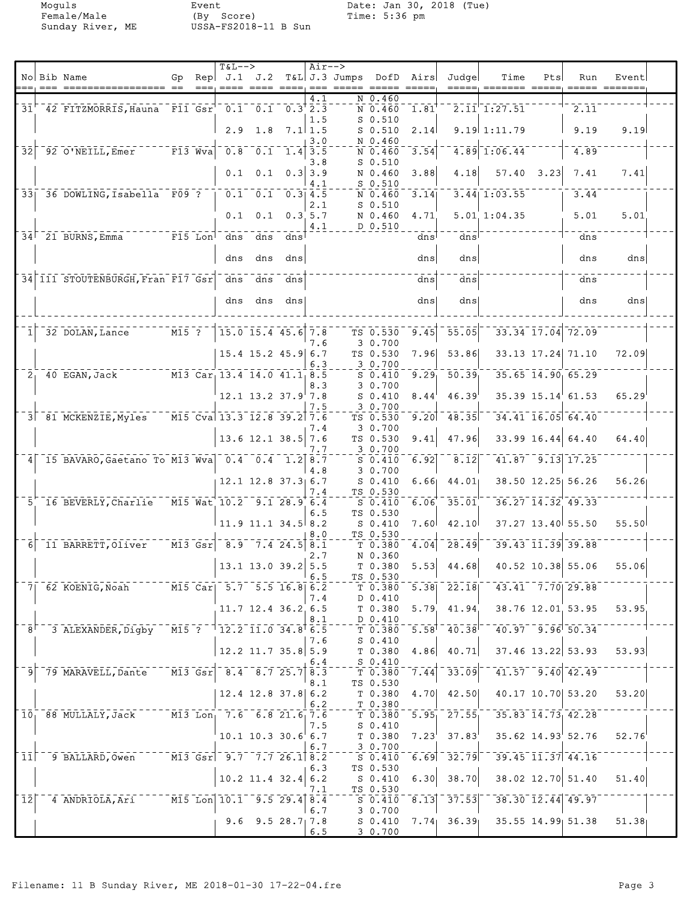Moguls

Event Female/Male (By Score)<br>Sunday River, ME USSA-FS2018-11 B Sun Date: Jan 30, 2018 (Tue)<br>Time: 5:36 pm

|                 | No Bib Name                                                                  | Gp.     |      | $T&L-->$<br>$\text{Rep}$ $J.1$ $J.2$                                                                                                 |                                                                     |     | $Air-->$         | T&L J.3 Jumps DofD Airs       |                                                                                                                                                                                                                                                                                                                                                                                                                                                                                 | Judge                                | Time                                                                 | Pts | Run                                                       | Event |  |
|-----------------|------------------------------------------------------------------------------|---------|------|--------------------------------------------------------------------------------------------------------------------------------------|---------------------------------------------------------------------|-----|------------------|-------------------------------|---------------------------------------------------------------------------------------------------------------------------------------------------------------------------------------------------------------------------------------------------------------------------------------------------------------------------------------------------------------------------------------------------------------------------------------------------------------------------------|--------------------------------------|----------------------------------------------------------------------|-----|-----------------------------------------------------------|-------|--|
|                 |                                                                              |         | $==$ |                                                                                                                                      |                                                                     |     |                  |                               | $\qquad \qquad \doteq \qquad \qquad \doteq \qquad \qquad \doteq \qquad \qquad \doteq \qquad \qquad \doteq \qquad \qquad \doteq \qquad \qquad \doteq \qquad \qquad \doteq \qquad \qquad \doteq \qquad \qquad \doteq \qquad \qquad \doteq \qquad \qquad \doteq \qquad \qquad \doteq \qquad \qquad \doteq \qquad \qquad \doteq \qquad \qquad \doteq \qquad \qquad \doteq \qquad \qquad \doteq \qquad \qquad \doteq \qquad \qquad \doteq \qquad \qquad \doteq \qquad \qquad \doteq$ |                                      |                                                                      |     | $\qquad \qquad \doteq \qquad \qquad \doteq \qquad \qquad$ |       |  |
|                 | 31 42 FITZMORRIS, Hauna F11 Gsr 0.1 0.1 0.3 2.3                              |         |      |                                                                                                                                      |                                                                     |     | 4.1              | N 0.460<br>N 0.460            | 1.81                                                                                                                                                                                                                                                                                                                                                                                                                                                                            |                                      | 2.11'1:27.51                                                         |     | 2.11                                                      |       |  |
|                 |                                                                              |         |      |                                                                                                                                      | $2.9$ 1.8                                                           |     | 1.5<br>$7.1$ 1.5 | $S$ 0.510<br>$S$ 0.510        | 2.14                                                                                                                                                                                                                                                                                                                                                                                                                                                                            |                                      | $9.19$ 1:11.79                                                       |     | 9.19                                                      | 9.19  |  |
| $\overline{32}$ | $92$ O'NEILL, Emer<br>$-$ F13 Wva                                            |         |      |                                                                                                                                      | $\overline{0.8}$ $\overline{0.1}$ $\overline{1.4}$ $\overline{3.5}$ |     | 3.0              | N 0.460<br>N 0.460            | 3.54                                                                                                                                                                                                                                                                                                                                                                                                                                                                            |                                      | $4.89$ 1:06.44                                                       |     | 4.89                                                      |       |  |
|                 |                                                                              |         |      |                                                                                                                                      | $0.1 \t 0.1$                                                        |     | 3.8<br>$0.3$ 3.9 | $S$ 0.510<br>N 0.460          | 3.88                                                                                                                                                                                                                                                                                                                                                                                                                                                                            | 4.18                                 | 57.40 3.23                                                           |     | 7.41                                                      | 7.41  |  |
|                 | 33 36 DOWLING, Isabella F09 ?                                                |         |      |                                                                                                                                      | $\begin{bmatrix} 0.1 & 0.1 & 0.3 & 4.5 \end{bmatrix}$               |     | 4.1              | $S$ 0.510                     | 3.14                                                                                                                                                                                                                                                                                                                                                                                                                                                                            |                                      | $3.44$   1:03.55                                                     |     | 3.44                                                      |       |  |
|                 |                                                                              |         |      |                                                                                                                                      |                                                                     |     | 2.1              | N 0.460<br>$S$ 0.510          |                                                                                                                                                                                                                                                                                                                                                                                                                                                                                 |                                      |                                                                      |     |                                                           |       |  |
|                 |                                                                              |         |      |                                                                                                                                      | $0.1$ $0.1$ $0.3$ 5.7                                               |     | 4.1              | N 0.460<br>D 0.510            | 4.71                                                                                                                                                                                                                                                                                                                                                                                                                                                                            |                                      | $5.01$ 1:04.35                                                       |     | 5.01                                                      | 5.01  |  |
|                 | $34^{\degree}$ 21 BURNS, Emma<br>$F15$ Lon                                   |         |      | dns                                                                                                                                  | dns                                                                 | dns |                  |                               | dns                                                                                                                                                                                                                                                                                                                                                                                                                                                                             | $\frac{1}{\text{dns}}$               |                                                                      |     | dns                                                       |       |  |
|                 |                                                                              |         |      | dns                                                                                                                                  | dns                                                                 | dns |                  |                               | dns                                                                                                                                                                                                                                                                                                                                                                                                                                                                             | dns                                  |                                                                      |     | dns                                                       | dns   |  |
|                 | 34 111 STOUTENBURGH, Fran F17 Gsr                                            |         |      |                                                                                                                                      | dns dns                                                             | dns |                  |                               | dns                                                                                                                                                                                                                                                                                                                                                                                                                                                                             | dns                                  |                                                                      |     | dns                                                       |       |  |
|                 |                                                                              |         |      | dns                                                                                                                                  | dns                                                                 | dns |                  |                               | dns                                                                                                                                                                                                                                                                                                                                                                                                                                                                             | dns                                  |                                                                      |     | dns                                                       | dns   |  |
|                 | 32 DOLAN, Lance                                                              | $M15$ ? |      |                                                                                                                                      | $15.0$ $15.4$ $45.6$ 7.8                                            |     |                  | TS 0.530                      | 9.45                                                                                                                                                                                                                                                                                                                                                                                                                                                                            | $\overline{55.05}$                   |                                                                      |     | $33.34$ $17.04$ $72.09$                                   |       |  |
|                 |                                                                              |         |      |                                                                                                                                      | $15.4$ 15.2 45.9 6.7                                                |     | 7.6              | 30.700<br>TS 0.530            | 7.96                                                                                                                                                                                                                                                                                                                                                                                                                                                                            | 53.86                                |                                                                      |     | 33.13 17.24 71.10                                         | 72.09 |  |
|                 | 40 EGAN, Jack<br>2 <sub>1</sub>                                              |         |      | $M13$ Car <sub>1</sub> 13.4 14.0 41.1 <sub>1</sub> 8.5                                                                               |                                                                     |     | 6.3              | 3 0.700<br>$S_0.410$          | 9.29                                                                                                                                                                                                                                                                                                                                                                                                                                                                            | 50.39                                | $35.65$ $14.90$ 65.29                                                |     |                                                           |       |  |
|                 |                                                                              |         |      |                                                                                                                                      | $12.1$ $13.2$ $37.9$ $7.8$                                          |     | 8.3              | 3 0.700<br>$S_0.410$          | 8.44                                                                                                                                                                                                                                                                                                                                                                                                                                                                            | 46.39                                |                                                                      |     | 35.39 15.14 61.53                                         | 65.29 |  |
|                 | 3 81 MCKENZIE, Myles                                                         |         |      | $\sqrt{15}$ Cva 13.3 12.8 39.2 7.6                                                                                                   |                                                                     |     | 7.5              | 3 0.700<br>TS 0.530           | 9.20                                                                                                                                                                                                                                                                                                                                                                                                                                                                            | $-48.35$                             |                                                                      |     | $34.41$ $16.05$ $64.40$                                   |       |  |
|                 |                                                                              |         |      |                                                                                                                                      |                                                                     |     | 7.4              | 30.700                        |                                                                                                                                                                                                                                                                                                                                                                                                                                                                                 |                                      |                                                                      |     |                                                           |       |  |
|                 |                                                                              |         |      |                                                                                                                                      | $13.6$ 12.1 38.5 7.6                                                |     | 7.7              | TS 0.530<br>$-30.700$         | 9.41                                                                                                                                                                                                                                                                                                                                                                                                                                                                            | 47.96                                |                                                                      |     | $33.99$ 16.44 64.40                                       | 64.40 |  |
| $\frac{4}{ }$   | 15 BAVARO, Gaetano To M13 Wva 0.4 0.4 1.2 8.7                                |         |      |                                                                                                                                      |                                                                     |     | 4.8              | $S_0.410$<br>3 0.700          | 6.92                                                                                                                                                                                                                                                                                                                                                                                                                                                                            | 8.12                                 |                                                                      |     | $41.87$ 9.13 17.25                                        |       |  |
|                 |                                                                              |         |      |                                                                                                                                      | $12.1$ $12.8$ $37.3$ 6.7                                            |     | 7.4              | $S_0.410$<br>TS 0.530         | 6.66                                                                                                                                                                                                                                                                                                                                                                                                                                                                            | 44.01                                |                                                                      |     | 38.50 12.25 56.26                                         | 56.26 |  |
|                 | 5 16 BEVERLY, Charlie                                                        |         |      | M15 Wat 10.2 9.1 28.9 6.4                                                                                                            |                                                                     |     | 6.5              | S 0.410<br>TS 0.530           | 6.06                                                                                                                                                                                                                                                                                                                                                                                                                                                                            | $\overline{35.01}$                   |                                                                      |     | $36.27$ $14.32$ $49.33$                                   |       |  |
|                 |                                                                              |         |      |                                                                                                                                      | $11.9$ 11.1 34.5 8.2                                                |     | 8.0              | $S_0.410$<br>TS 0.530         | 7.60 <sup>1</sup>                                                                                                                                                                                                                                                                                                                                                                                                                                                               | 42.10                                |                                                                      |     | $37.27$ 13.40 55.50                                       | 55.50 |  |
|                 | 11 BARRETT, Oliver                                                           |         |      | $\overline{56}$ $\overline{13}$ $\overline{65}$ $\overline{51}$ $\overline{8.9}$ $\overline{7.4}$ $\overline{24.5}$ $\overline{8.1}$ |                                                                     |     | 2.7              | T <sub>0.380</sub><br>N 0.360 | 4.04                                                                                                                                                                                                                                                                                                                                                                                                                                                                            | $\sqrt{-28.49}$                      | $39.43$ $\overline{11.39}$ $\overline{39.88}$                        |     |                                                           |       |  |
|                 |                                                                              |         |      |                                                                                                                                      | $13.1$ $13.0$ $39.2$ $5.5$                                          |     | 6.5              | T 0.380<br>TS 0.530           | 5.53                                                                                                                                                                                                                                                                                                                                                                                                                                                                            | 44.68                                |                                                                      |     | 40.52 10.38 55.06                                         | 55.06 |  |
| 71.             | 62 KOENIG, Noah                                                              |         |      | $\overline{M15}$ Car $\overline{5.7}$ 5.5 16.8 6.2                                                                                   |                                                                     |     |                  | T <sub>0.380</sub>            |                                                                                                                                                                                                                                                                                                                                                                                                                                                                                 | $5.38$ $22.18$                       | $43.41 - 7.70$ 29.88                                                 |     |                                                           |       |  |
|                 |                                                                              |         |      |                                                                                                                                      | 11.7 12.4 36.2 6.5                                                  |     | 7.4              | D 0.410<br>T 0.380            |                                                                                                                                                                                                                                                                                                                                                                                                                                                                                 | $5.79$ 41.94                         | 38.76 12.01 53.95                                                    |     |                                                           | 53.95 |  |
| 8 <sup>1</sup>  | 3 ALEXANDER, Digby                                                           |         |      | $\overline{0.015}$ $\overline{0.7}$ $\overline{1.2.2}$ $\overline{11.0}$ $\overline{34.8}$ $\overline{6.5}$                          |                                                                     |     | 8.1              | D 0.410<br>T <sub>0.380</sub> |                                                                                                                                                                                                                                                                                                                                                                                                                                                                                 |                                      | $-5.58$ <sup>1</sup> $-40.38$ <sup>1-</sup> $-40.97$ $-9.96$ $50.34$ |     |                                                           |       |  |
|                 |                                                                              |         |      |                                                                                                                                      | $12.2$ 11.7 35.8 5.9                                                |     | 7.6              | $S_0.410$<br>T 0.380          | 4.86                                                                                                                                                                                                                                                                                                                                                                                                                                                                            | 40.71                                | 37.46 13.22 53.93                                                    |     |                                                           | 53.93 |  |
|                 | 79 MARAVELL, Dante                                                           |         |      |                                                                                                                                      |                                                                     |     | 6.4              | S 0.410<br>T 0.380            | 7.44                                                                                                                                                                                                                                                                                                                                                                                                                                                                            | 33.09                                |                                                                      |     | $-41.57 - 9.40 - 42.49$                                   |       |  |
|                 |                                                                              |         |      |                                                                                                                                      | $12.4$ 12.8 37.8 6.2                                                |     | 8.1              | TS 0.530<br>T 0.380           | 4.70                                                                                                                                                                                                                                                                                                                                                                                                                                                                            | 42.50                                |                                                                      |     | 40.17 10.70 53.20                                         | 53.20 |  |
|                 | 10 88 MULLALY, Jack                                                          |         |      | $\overline{M13}$ Lon <sub>1</sub> 7.6 6.8 21.6 7.6                                                                                   |                                                                     |     | 6.2              | T 0.380<br>T 0.380            |                                                                                                                                                                                                                                                                                                                                                                                                                                                                                 | $\overline{5.95}$ $\overline{27.55}$ | $-35.83$ $14.73$ $42.28$                                             |     |                                                           |       |  |
|                 |                                                                              |         |      |                                                                                                                                      | $10.1$ 10.3 30.6 6.7                                                |     | 7.5              | $S_0.410$<br>T 0.380          | $7.23^{\circ}$                                                                                                                                                                                                                                                                                                                                                                                                                                                                  | 37.83                                |                                                                      |     | $35.62$ $14.93$ $52.76$                                   | 52.76 |  |
|                 |                                                                              |         |      | $\overline{M13}$ Gsr $\overline{9.7}$ 7.7 26.1 8.2                                                                                   |                                                                     |     | 6.7              | 3 0.700                       |                                                                                                                                                                                                                                                                                                                                                                                                                                                                                 | $6.69$ $32.79$                       | $-39.45$ $11.37$ $44.16$                                             |     |                                                           |       |  |
| $\overline{11}$ | 9 BALLARD, Owen                                                              |         |      |                                                                                                                                      |                                                                     |     | 6.3              | $S$ 0.410<br>TS 0.530         |                                                                                                                                                                                                                                                                                                                                                                                                                                                                                 |                                      |                                                                      |     |                                                           |       |  |
|                 |                                                                              |         |      |                                                                                                                                      | $10.2$ 11.4 32.4 6.2                                                |     | 7.1              | S 0.410<br>TS 0.530           | 6.30                                                                                                                                                                                                                                                                                                                                                                                                                                                                            | 38.70                                |                                                                      |     | 38.02 12.70 51.40                                         | 51.40 |  |
|                 | $12$ <sup>-4</sup> ANDRIOLA, Ari <sup>-----</sup> M15 Lon 10.1 -9.5 29.4 8.4 |         |      |                                                                                                                                      |                                                                     |     | 6.7              | $S_0.410$<br>30.700           | 8.13                                                                                                                                                                                                                                                                                                                                                                                                                                                                            | 37.53                                |                                                                      |     | $38.30$ $12.44$ $49.97$                                   |       |  |
|                 |                                                                              |         |      |                                                                                                                                      | 9.6 9.5 28.7 7.8                                                    |     | 6.5              | $S_0.410$<br>30.700           |                                                                                                                                                                                                                                                                                                                                                                                                                                                                                 |                                      | $7.74$ 36.39 35.55 14.99 51.38                                       |     |                                                           | 51.38 |  |
|                 |                                                                              |         |      |                                                                                                                                      |                                                                     |     |                  |                               |                                                                                                                                                                                                                                                                                                                                                                                                                                                                                 |                                      |                                                                      |     |                                                           |       |  |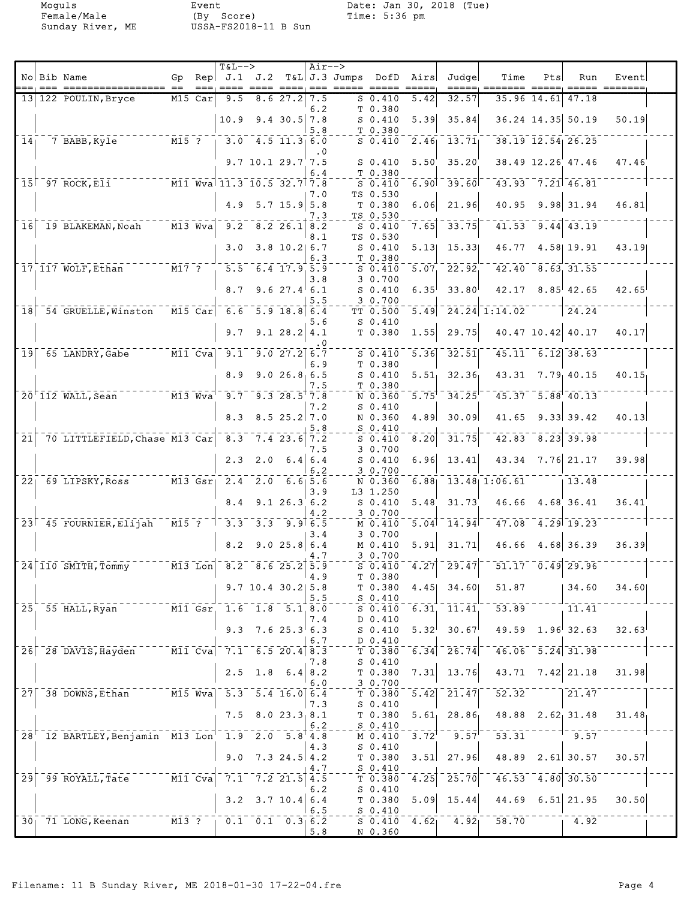Moguls Event Date: Jan 30, 2018 (Tue)<br>Female/Male (By Score) Time: 5:36 pm

|                 | No Bib Name                                                                                        | Gp                                 |           | $T&L-->$                                                                                                                          |                          |                   | $Air--$ | Rep $J.1$ $J.2$ T&L J.3 Jumps DofD Airs |                       | Judge                                  | Time                                      | Pts                  | Run                               | Event |  |
|-----------------|----------------------------------------------------------------------------------------------------|------------------------------------|-----------|-----------------------------------------------------------------------------------------------------------------------------------|--------------------------|-------------------|---------|-----------------------------------------|-----------------------|----------------------------------------|-------------------------------------------|----------------------|-----------------------------------|-------|--|
|                 | 13 122 POULIN, Bryce                                                                               |                                    | M15 Car   | 9.5                                                                                                                               |                          | 8.627.2           | 7.5     | S 0.410                                 | 5.42                  | 32.57                                  |                                           | 35.96 14.61          | 47.18                             |       |  |
|                 |                                                                                                    |                                    |           |                                                                                                                                   |                          |                   | 6.2     | T 0.380                                 |                       |                                        |                                           |                      |                                   |       |  |
|                 |                                                                                                    |                                    |           | 10.9                                                                                                                              |                          | $9.4$ 30.5 7.8    | 5.8     | $S_0.410$<br>T 0.380                    | 5.39                  | 35.84                                  |                                           |                      | 36.24 14.35 50.19                 | 50.19 |  |
| 14 <sub>1</sub> | 7 BABB, Kyle                                                                                       | $M15$ ?                            |           |                                                                                                                                   | $3.0 - 4.5$ 11.3 6.0     |                   | . 0     | $S_0.410$                               | $\overline{2.46}$     | 13.71                                  |                                           |                      | $38.19$ $12.54$ 26.25             |       |  |
|                 |                                                                                                    |                                    |           |                                                                                                                                   | $9.7$ 10.1 29.7 7.5      |                   |         | $S_0.410$                               | 5.50'                 | 35.20                                  |                                           |                      | 38.49 12.26 47.46                 | 47.46 |  |
|                 | $15$ <sup><math>-97</math></sup> ROCK, Eli <sup>-</sup><br>$\overline{M11}$ Wva 11.3 10.5 32.7 7.8 |                                    |           |                                                                                                                                   |                          |                   | 6.4     | T 0.380<br>$S_0.410$                    | 6.90                  | 39.60                                  |                                           |                      | $43.93 - 7.21$ 46.81              |       |  |
|                 |                                                                                                    |                                    |           | 4.9                                                                                                                               |                          | $5.7$ 15.9 5.8    | 7.0     | TS 0.530<br>T 0.380                     | 6.06                  | 21.96                                  | 40.95                                     |                      | $9.98 \mid 31.94$                 | 46.81 |  |
|                 |                                                                                                    | $M13$ Wva                          |           | $\overline{9.2}$                                                                                                                  |                          | $8.2$ 26.1 $8.2$  | 7.3     | TS 0.530                                | 7.65                  | 33.75                                  |                                           |                      | $41.53$ $9.44$ $43.19$            |       |  |
|                 | 16 19 BLAKEMAN, Noah                                                                               |                                    |           |                                                                                                                                   |                          |                   | 8.1     | $S_0.410$<br>TS 0.530                   |                       |                                        |                                           |                      |                                   |       |  |
|                 |                                                                                                    |                                    |           | 3.0                                                                                                                               |                          | $3.8$ 10.2 6.7    | 6.3     | $S_0.410$<br>T 0.380                    | 5.13                  | 15.33                                  |                                           |                      | 46.77 4.58 19.91                  | 43.19 |  |
|                 | 17 117 WOLF, Ethan                                                                                 | $-M17$ ?                           |           |                                                                                                                                   | $5.5$ 6.4 17.9 5.9       |                   | 3.8     | $S_0.410$<br>3 0.700                    | 5.07                  | 22.92                                  |                                           |                      | $42.40$ $8.63$ 31.55              |       |  |
|                 |                                                                                                    |                                    |           | 8.7                                                                                                                               |                          | 9.6 $27.4$ 6.1    |         | $S_0.410$                               | $6.35^{\circ}$        | 33.80                                  |                                           |                      | $42.17$ $8.85$ $42.65$            | 42.65 |  |
|                 | 18 54 GRUELLE, Winston                                                                             |                                    |           | $\overline{M15}$ Car 6.6 5.9 18.8 6.4                                                                                             |                          |                   | 5.5     | 3 0.700<br>TT 0.500                     | 5.49                  |                                        | $\overline{24.24}$ 1:14.02                |                      | 24.24                             |       |  |
|                 |                                                                                                    |                                    |           | 9.7                                                                                                                               |                          | 9.128.24.1        | 5.6     | $S_0.410$<br>T 0.380                    | 1.55                  | 29.75                                  |                                           |                      | 40.47 10.42 40.17                 | 40.17 |  |
| 19              | 65 LANDRY, Gabe M11 Cva 9.1 9.0 27.2 6.7                                                           |                                    |           |                                                                                                                                   |                          |                   | . 0     | $S$ 0.410                               | 5.36                  | 32.51                                  |                                           |                      | $45.11 - 6.12$ 38.63              |       |  |
|                 |                                                                                                    |                                    |           |                                                                                                                                   |                          |                   | 6.9     | T 0.380                                 |                       |                                        |                                           |                      |                                   |       |  |
|                 |                                                                                                    |                                    |           | 8.9                                                                                                                               |                          | 9.026.86.5        | 7.5     | $S$ 0.410<br>T 0.380                    | 5.51                  | 32.36                                  |                                           |                      | $43.31$ $7.79$ $40.15$            | 40.15 |  |
|                 | $M13$ $Wva$<br>$20'$ 112 WALL, Sean                                                                |                                    |           | 9.7                                                                                                                               |                          | 9.328.57.8        | 7.2     | N 0.360<br>$S_0.410$                    | 5.75                  | 34.25                                  |                                           |                      | $45.37 - 5.88$ <sup>1</sup> 40.13 |       |  |
|                 |                                                                                                    |                                    |           | 8.3                                                                                                                               |                          | $8.5$ 25.2 7.0    |         | N 0.360                                 | 4.89                  | 30.09                                  | 41.65                                     |                      | $9.33 \mid 39.42$                 | 40.13 |  |
| $\overline{21}$ | 70 LITTLEFIELD, Chase M13 Car 8.3 7.4 23.6 7.2                                                     |                                    |           |                                                                                                                                   |                          |                   | 5.8     | $S_0.410$<br>$S$ 0.410                  | $\left[ 8.20 \right]$ | 31.75                                  |                                           | $42.83$ $8.23$ 39.98 |                                   |       |  |
|                 |                                                                                                    |                                    |           | 2.3                                                                                                                               |                          | $2.0 \t6.4   6.4$ | 7.5     | 3 0.700<br>$S_0.410$                    | 6.96                  | 13.41                                  | 43.34                                     |                      | $7.76$ 21.17                      | 39.98 |  |
|                 | 22 <sub>1</sub> 69 LIPSKY, Ross                                                                    |                                    | $M13$ Gsr |                                                                                                                                   | $2.4$ $2.0$ $6.6$ $5.6$  |                   | 6.2     | 3 0.700<br>N 0.360                      | 6.88                  |                                        | $13.48$ 1:06.61                           |                      | 13.48                             |       |  |
|                 |                                                                                                    |                                    |           |                                                                                                                                   |                          |                   | 3.9     | L3 1.250                                |                       |                                        |                                           |                      |                                   |       |  |
|                 |                                                                                                    |                                    |           | 8.4                                                                                                                               |                          | 9.126.36.2        | 4.2     | $S_0.410$<br>3 0.700                    | 5.48                  | 31.73'                                 |                                           |                      | $46.66$ $4.68$ 36.41              | 36.41 |  |
|                 | 23 45 FOURNIER, Elijah                                                                             |                                    |           | $^{\circ}$ M15 $^{\circ}$ $^{\circ}$ $^{\circ}$ $^{\circ}$ $^{\circ}$ $^{\circ}$ 3.3 $^{\circ}$ 3.3 $^{\circ}$ 9.9 $^{\circ}$ 6.5 |                          |                   | 3.4     | $M$ 0.410<br>3 0.700                    | 5.04                  | 14.94                                  |                                           |                      | $47.08 - 4.29 - 19.23$            |       |  |
|                 |                                                                                                    |                                    |           | 8.2                                                                                                                               |                          | 9.025.86.4        |         | M 0.410                                 | 5.91                  | 31.71                                  | 46.66                                     |                      | 4.68 36.39                        | 36.39 |  |
|                 | $24$ 110 SMITH, Tommy                                                                              |                                    |           | $\overline{M13}$ Lon $\overline{8.2}$ $\overline{8.6}$ 25.2 5.9                                                                   |                          |                   | $-7$    | 30.700<br>50.410                        |                       | $\left[4.27\right]$ <sup>-</sup> 29.47 |                                           |                      | $51.17 - 0.49$ 29.96              |       |  |
|                 |                                                                                                    |                                    |           |                                                                                                                                   | 9.7 10.4 30.2 5.8        |                   | ∣4.9    | T 0.380<br>T 0.380                      |                       | $4.45$ 34.60                           | 51.87                                     |                      | 34.60                             | 34.60 |  |
|                 | $\overline{M11}$ $\overline{Gsr}$<br>25, 55 HALL, Ryan                                             |                                    |           |                                                                                                                                   | $1.6$ $1.8$ $5.1$ $8.0$  |                   | 5.5     | $S_0.410$<br>S 0.410                    | $6.31^{-}$            | 11.41                                  | $53.89$ <sup>--</sup>                     |                      | 11.41                             |       |  |
|                 |                                                                                                    |                                    |           |                                                                                                                                   | 9.3 7.6 25.3 6.3         |                   | 7.4     | D 0.410                                 |                       |                                        |                                           |                      |                                   |       |  |
|                 |                                                                                                    |                                    |           |                                                                                                                                   |                          |                   | 6.7     | $S$ 0.410<br>D 0.410                    | 5.32                  | 30.67                                  |                                           |                      | $49.59$ $1.96$ 32.63              | 32.63 |  |
|                 | 26 28 DAVIS, Hayden                                                                                |                                    |           | $\overline{M11}$ Cva $\overline{7.1}$ 6.5 20.4 8.3                                                                                |                          |                   | 7.8     | T 0.380<br>$S_0.410$                    | 6.34                  | $\overline{26.74}$                     |                                           |                      | $46.06 - 5.24 - 31.98$            |       |  |
|                 |                                                                                                    |                                    |           |                                                                                                                                   | $2.5$ 1.8 6.4 8.2        |                   | 6.0     | T 0.380<br>30.700                       | 7.31                  | 13.76                                  |                                           |                      | 43.71 7.42 21.18                  | 31.98 |  |
|                 | $27$ $38$ DOWNS, Ethan $M15$ Wva                                                                   |                                    |           |                                                                                                                                   | $5.3$ $5.4$ $16.0$ $6.4$ |                   |         | T 0.380                                 | 5.42                  | 21.47                                  | $\overline{52.32}^{-}$                    |                      | 21.47                             |       |  |
|                 |                                                                                                    |                                    |           |                                                                                                                                   | $7.5$ 8.0 23.3 8.1       |                   | 7.3     | $S_0.410$<br>T 0.380                    |                       | $5.61$ 28.86                           |                                           |                      | 48.88 2.62 31.48                  | 31.48 |  |
|                 | 28 <sup>-</sup> 12 BARTLEY, Benjamin M13 Lon <sup>-</sup> 1.9 2.0 5.8 4.8                          |                                    |           |                                                                                                                                   |                          |                   | 6.2     | $S_0.410$<br>M 0.410                    | $3.72^{T}$            | $\overline{9.57}$ <sup>-</sup>         | $-53.31$ $-1 - 9.57$                      |                      |                                   |       |  |
|                 |                                                                                                    |                                    |           | 9.0                                                                                                                               |                          | $7.3$ 24.5 4.2    | 4.3     | $S_0.410$<br>T 0.380                    | 3.51                  | 27.96                                  |                                           |                      | 48.89 2.61 30.57                  | 30.57 |  |
|                 |                                                                                                    |                                    |           |                                                                                                                                   |                          |                   | 4.7     | $S_0.410$                               |                       |                                        |                                           |                      |                                   |       |  |
| 29              | 99 ROYALL, Tate                                                                                    | $\overline{M11}$ $\overline{C}$ va |           | $-7.1$                                                                                                                            | $-7.2$ 21.5 4.5          |                   | 6.2     | T 0.380<br>$S_0.410$                    | $\overline{4.25}$     | 25.70                                  |                                           | $46.53 - 4.80$ 30.50 |                                   |       |  |
|                 |                                                                                                    |                                    |           | 3.2                                                                                                                               |                          | $3.7$ 10.4 6.4    | 6.5     | T 0.380<br>$S_0.410$                    | 5.09                  | 15.44                                  |                                           |                      | 44.69 6.51 21.95                  | 30.50 |  |
|                 | 30 71 LONG, Keenan                                                                                 |                                    |           | $\overline{0.1}$ $\overline{0.2}$ $\overline{0.3}$ $\overline{0.2}$ $\overline{0.3}$ $\overline{0.2}$                             |                          |                   |         | $S_0.410$                               | 4.62                  |                                        | $\overline{4.92}$ 58.70 $\overline{1.92}$ |                      |                                   |       |  |
|                 |                                                                                                    |                                    |           |                                                                                                                                   |                          |                   | 5.8     | N 0.360                                 |                       |                                        |                                           |                      |                                   |       |  |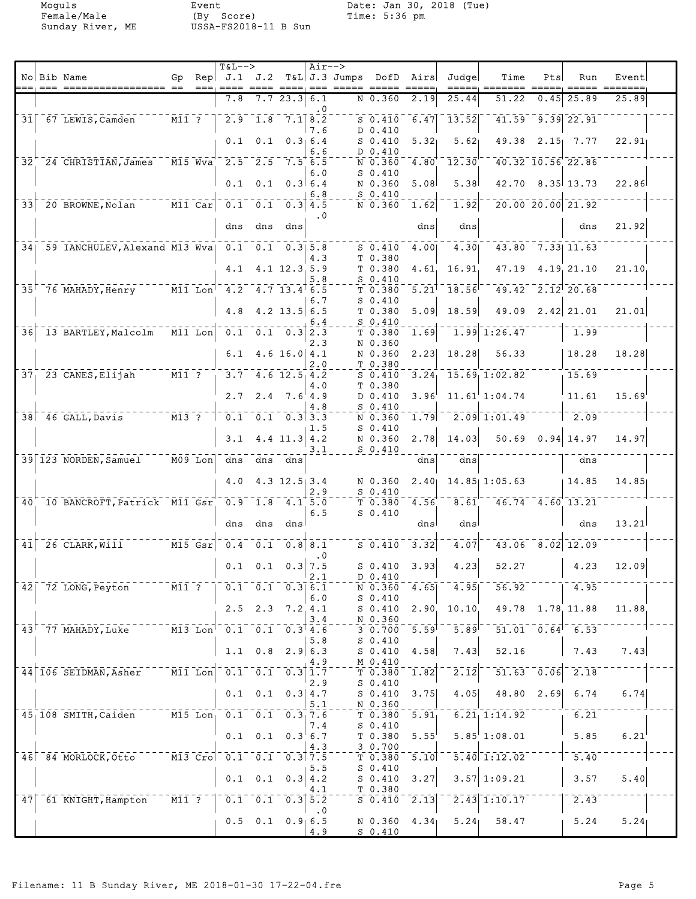Moguls Event Date: Jan 30, 2018 (Tue)<br>Female/Male (By Score) Time: 5:36 pm

|                 |                                                           |                                 | $T&L-->$                                                                                     |                 |                                                    | $Air--$          |                         |                                                     |                     |                                                                |                                                     |                                      |                         |                      |  |
|-----------------|-----------------------------------------------------------|---------------------------------|----------------------------------------------------------------------------------------------|-----------------|----------------------------------------------------|------------------|-------------------------|-----------------------------------------------------|---------------------|----------------------------------------------------------------|-----------------------------------------------------|--------------------------------------|-------------------------|----------------------|--|
|                 | No Bib Name                                               | Gp                              | Rep   J.1 J.2                                                                                |                 |                                                    |                  | T&L J.3 Jumps DofD Airs |                                                     |                     | Judge                                                          | Time                                                | Pts                                  | Run                     | Event                |  |
|                 |                                                           |                                 | $= = =, = = = =$<br>7.8                                                                      |                 | 7.723.36.1                                         |                  |                         | $N$ 0.360                                           | 2.19                | 25.44                                                          | 51.22                                               | 0.45                                 | 25.89                   | 25.89                |  |
|                 |                                                           |                                 |                                                                                              |                 |                                                    | . 0              |                         |                                                     |                     |                                                                |                                                     |                                      |                         |                      |  |
| $\overline{31}$ | 67 LEWIS, Camden                                          | $\overline{M11}$ $\overline{?}$ |                                                                                              |                 | $\overline{2.9}$ 1.8 7.1 8.2                       |                  |                         | $S_{0.410}^{-1}$                                    | 6.47                | $\overline{1}\overline{3}\overline{.}\overline{5}\overline{2}$ |                                                     |                                      | $41.59 - 9.39$ 22.91    |                      |  |
|                 |                                                           |                                 | 0.1                                                                                          |                 | $0.1 \quad 0.366.4$                                | 7.6              |                         | D 0.410<br>$S_0.410$                                | 5.32 <sub>1</sub>   | 5.62                                                           |                                                     |                                      | 49.38 2.15 7.77         | 22.91                |  |
|                 |                                                           |                                 |                                                                                              |                 |                                                    | 6.6              |                         | D 0.410                                             |                     |                                                                |                                                     |                                      |                         |                      |  |
|                 | 32 24 CHRISTIAN, James M15 Wva                            |                                 | $2.5$ $2.5$ $7.5$ 6.5                                                                        |                 |                                                    |                  |                         | N 0.360                                             | 4.80                | 12.30                                                          |                                                     |                                      | 40.32 10.56 22.86       |                      |  |
|                 |                                                           |                                 |                                                                                              |                 |                                                    | 6.0              |                         | $S$ 0.410                                           |                     |                                                                |                                                     |                                      |                         |                      |  |
|                 |                                                           |                                 | 0.1                                                                                          |                 | $0.1 \quad 0.3 \, 6.4$                             | 6.8              |                         | N 0.360<br>$S_0.410$                                | 5.08                | 5.38                                                           |                                                     |                                      | $42.70$ $8.35$ 13.73    | 22.86                |  |
| 33              | 20 BROWNE, Nolan M11 Car 0.1 0.1 0.3 4.5                  |                                 |                                                                                              |                 |                                                    |                  |                         | N 0.360 1.62                                        |                     | 1.92                                                           |                                                     |                                      | $20.00$ $20.00$ $21.92$ |                      |  |
|                 |                                                           |                                 |                                                                                              |                 |                                                    | $\cdot$ 0        |                         |                                                     |                     |                                                                |                                                     |                                      |                         |                      |  |
|                 |                                                           |                                 |                                                                                              | dns dns         | dns                                                |                  |                         |                                                     | dns                 | dns                                                            |                                                     |                                      | dns                     | 21.92                |  |
|                 | 34 59 IANCHULEV, Alexand M13 Wva 0.1 0.1 0.3 5.8          |                                 |                                                                                              |                 |                                                    |                  |                         | $S$ 0.410                                           | 4.00                | 4.30                                                           |                                                     |                                      | $43.80$ $7.33$ 11.63    |                      |  |
|                 |                                                           |                                 |                                                                                              |                 |                                                    | 4.3              |                         | T 0.380                                             |                     |                                                                |                                                     |                                      |                         |                      |  |
|                 |                                                           |                                 | 4.1                                                                                          |                 | $4.1$ 12.3.5.9                                     |                  |                         | T0.380                                              | 4.61.               | 16.91                                                          |                                                     |                                      | 47.19 4.19 21.10        | 21.10                |  |
|                 | 35 76 MAHADY, Henry M11 Lon <sup>1</sup> 4.2 4.7 13.4 6.5 |                                 |                                                                                              |                 |                                                    | 5.8              |                         | $S_0.410$<br>T <sub>0.380</sub>                     | $5.21$ <sup>T</sup> | 18.56                                                          |                                                     |                                      | $49.42 - 2.12 - 20.68$  |                      |  |
|                 |                                                           |                                 |                                                                                              |                 |                                                    | 6.7              |                         | $S_0.410$                                           |                     |                                                                |                                                     |                                      |                         |                      |  |
|                 |                                                           |                                 | 4.8                                                                                          |                 | $4.2$ 13.5 6.5                                     |                  |                         | T <sub>0.380</sub>                                  | 5.09                | 18.59                                                          |                                                     |                                      | $49.09$ $2.42$ $21.01$  | 21.01                |  |
| $\overline{36}$ | 13 BARTLEY, Malcolm                                       | $\overline{M11}$ Lon            | $\bar{0.1}^{-}$                                                                              |                 | $\overline{0.1}$ $\overline{0.3}$ $\overline{2.3}$ | 6.4              |                         | $S_0.410$<br>T 0.380                                | 1.69                |                                                                | $1.99$ 1:26.47                                      |                                      | 1.99                    |                      |  |
|                 |                                                           |                                 |                                                                                              |                 |                                                    | 2.3              |                         | N 0.360                                             |                     |                                                                |                                                     |                                      |                         |                      |  |
|                 |                                                           |                                 |                                                                                              |                 | $6.1 \quad 4.6 \quad 16.0 \quad 4.1$               |                  |                         | N 0.360                                             | 2.23                | 18.28                                                          | 56.33                                               |                                      | 18.28                   | 18.28                |  |
|                 | $371$ 23 CANES, Elijah                                    |                                 | $\overline{M11}$ ? $\overline{3.7}$ 4.6 12.5 4.2                                             |                 |                                                    | 2.0              |                         | T 0.380<br>$S_0.410$                                | 3.24                |                                                                | $-15.69$ , 1:02.82                                  |                                      | 15.69                   |                      |  |
|                 |                                                           |                                 |                                                                                              |                 |                                                    | 4.0              |                         | T 0.380                                             |                     |                                                                |                                                     |                                      |                         |                      |  |
|                 |                                                           |                                 |                                                                                              |                 | $2.7$ $2.4$ $7.6$ $4.9$                            |                  |                         | D 0.410                                             | 3.96'               |                                                                | $11.61$ <sup>'</sup> $1:04.74$                      |                                      | 11.61                   | $15.69$ <sup>'</sup> |  |
|                 |                                                           |                                 |                                                                                              |                 |                                                    | 4.8              |                         | $S_0.410$                                           |                     |                                                                |                                                     |                                      |                         |                      |  |
|                 | 38 46 GALL, Davis                                         |                                 |                                                                                              |                 |                                                    | 1.5              |                         | N 0.360<br>$S_0.410$                                | 1.79                |                                                                | $2.09$ <sup>-1:01.49</sup>                          |                                      | 2.09                    |                      |  |
|                 |                                                           |                                 | 3.1                                                                                          |                 | $4.4$ 11.3 4.2                                     |                  |                         | N 0.360                                             | 2.78                | 14.03                                                          |                                                     |                                      | $50.69$ $0.94$ 14.97    | 14.97                |  |
|                 |                                                           |                                 |                                                                                              |                 |                                                    | 3.1              |                         | $S_0.410$                                           |                     |                                                                |                                                     |                                      |                         |                      |  |
|                 | 39 123 NORDEN, Samuel                                     |                                 | M09 Lon dns dns dns                                                                          |                 |                                                    |                  |                         |                                                     | dns                 | dns                                                            |                                                     |                                      | dns                     |                      |  |
|                 |                                                           |                                 | 4.0                                                                                          |                 | $4.3$ 12.5 3.4                                     |                  |                         | N 0.360                                             | 2.40 <sub>1</sub>   |                                                                | $14.85$ 1:05.63                                     |                                      | 14.85                   | 14.85                |  |
|                 |                                                           |                                 |                                                                                              |                 |                                                    | 2.9              |                         | $S_0.410$                                           |                     |                                                                |                                                     |                                      |                         |                      |  |
|                 | 40 10 BANCROFT, Patrick M11 Gsr 0.9 1.8 4.1 5.0           |                                 |                                                                                              |                 |                                                    | 6.5              |                         | T <sub>0.380</sub><br>$S_0.410$                     | 4.56                | $\bar{8}.\bar{6}1$                                             |                                                     |                                      | $46.74$ $4.60$ 13.21    |                      |  |
|                 |                                                           |                                 | dns                                                                                          | dns             | dns                                                |                  |                         |                                                     | dnsl                | dnsl                                                           |                                                     |                                      | dns                     | 13.21                |  |
|                 |                                                           |                                 |                                                                                              |                 |                                                    |                  |                         |                                                     |                     |                                                                |                                                     |                                      |                         |                      |  |
| $\overline{41}$ | 26 CLARK, WIII M15 Gsr 0.4 0.1 0.8 8.1                    |                                 |                                                                                              |                 |                                                    |                  |                         | $\overline{S}$ $\overline{0.410}$ $\overline{3.32}$ |                     | 4.07                                                           |                                                     |                                      | $43.06 - 8.02$ 12.09    |                      |  |
|                 |                                                           |                                 |                                                                                              |                 | $0.1 \quad 0.1 \quad 0.3 \mid 7.5$                 | . 0              |                         | $S \, 0.410 \, 3.93$                                |                     | 4.23                                                           | 52.27                                               |                                      | 4.23                    | 12.09                |  |
|                 |                                                           |                                 |                                                                                              |                 |                                                    | 2.1              |                         | D 0.410                                             |                     |                                                                |                                                     |                                      |                         |                      |  |
|                 | 42 72 LONG, Peyton                                        | $MT$ $?$                        | $\overline{0.1}$ $\overline{0.1}$ $\overline{0.3}$ $\overline{6.1}$                          |                 |                                                    |                  |                         | N 0.360                                             | 4.65                | $\overline{4.95}$                                              | 56.92                                               |                                      | 4.95                    |                      |  |
|                 |                                                           |                                 |                                                                                              |                 | $2.5$ $2.3$ $7.2$ $4.1$                            | 6.0              |                         | $S_0.410$<br>$S_0.410$                              | 2.90                | 10.10                                                          | 49.78 1.78 11.88                                    |                                      |                         | 11.88                |  |
|                 |                                                           |                                 |                                                                                              |                 |                                                    | 3.4              |                         | N 0.360                                             |                     |                                                                |                                                     |                                      |                         |                      |  |
|                 | 43 77 MAHADY, Luke                                        |                                 | $\overline{M13}$ Lon $\overline{0.1}$ $\overline{0.1}$ $\overline{0.3}$ $\overline{4.6}$     |                 |                                                    |                  |                         | 30.700                                              | $\overline{5.59}$   | $\bar{5}.\bar{89}$                                             | $-51.01 - 0.64 - 6.53$                              |                                      |                         |                      |  |
|                 |                                                           |                                 |                                                                                              |                 | 1.1 $0.8$ 2.9 6.3                                  | 5.8              |                         | $S_0.410$<br>$S_0.410$                              | 4.58                | 7.43                                                           | 52.16                                               |                                      | 7.43                    | 7.43                 |  |
|                 |                                                           |                                 |                                                                                              |                 |                                                    | 4.9              |                         | M 0.410                                             |                     |                                                                |                                                     |                                      |                         |                      |  |
|                 | 44 106 SEIDMAN, Asher                                     |                                 | $\overline{M11}$ Lon $\overline{0.1}$ $\overline{0.1}$ $\overline{0.3}$ $\overline{1.7}$     |                 |                                                    |                  |                         | T <sub>0.380</sub>                                  | 1.82                | $\overline{2} \cdot \overline{1} \overline{2}$                 |                                                     | $\overline{51.63}$ $\overline{0.06}$ | 2.18                    |                      |  |
|                 |                                                           |                                 |                                                                                              |                 | $0.1$ 0.1 0.3 4.7                                  | 2.9              |                         | $S_0.410$<br>$S_0.410$                              | 3.75                | 4.05                                                           | 48.80 2.69                                          |                                      | 6.74                    | 6.74                 |  |
|                 |                                                           |                                 |                                                                                              |                 |                                                    | 5.1              |                         | N 0.360                                             |                     |                                                                |                                                     |                                      |                         |                      |  |
|                 | 45, 108 SMITH, Caiden                                     |                                 | $\overline{M15}$ Lon <sub>1</sub> 0.1 0.1 0.3 7.6                                            |                 |                                                    |                  |                         | $T\bar{0.380}$                                      | $\overline{5.91}$   |                                                                | $6.21$ <sub>1:14.92</sub>                           |                                      | 6.21                    |                      |  |
|                 |                                                           |                                 |                                                                                              |                 | $0.1$ $0.1$ $0.3^{6}$ 6.7                          | 7.4              |                         | $S_0.410$<br>T 0.380                                | $5.55^{\circ}$      |                                                                | $5.85^{\dagger}$ 1:08.01                            |                                      | 5.85                    | 6.21                 |  |
|                 |                                                           |                                 |                                                                                              |                 |                                                    | 4.3              |                         | 3 0.700                                             |                     |                                                                |                                                     |                                      |                         |                      |  |
|                 | 46 84 MORLOCK, Otto                                       |                                 | $\overline{M13}$ $\overline{C}$ ro $\overline{O}$ .1 $\overline{O}$ .1 $\overline{O}$ .3 7.5 |                 |                                                    |                  |                         | T0.380                                              | 5.10                |                                                                | $\overline{5.40}$ <sup>-1</sup> :12.02 <sup>-</sup> |                                      | $\overline{5.40}$       |                      |  |
|                 |                                                           |                                 |                                                                                              |                 |                                                    | 5.5              |                         | $S_0.410$                                           |                     |                                                                |                                                     |                                      |                         |                      |  |
|                 |                                                           |                                 |                                                                                              | $0.1 \quad 0.1$ |                                                    | 0.3   4.2<br>4.1 |                         | $S_0.410$<br>T 0.380                                | 3.27                |                                                                | $3.57$ 1:09.21                                      |                                      | 3.57                    | 5.40                 |  |
| 47              | 61 KNIGHT, Hampton                                        | $\bar{M11}$ $\bar{?}$           |                                                                                              |                 | $0.1 - 0.1 - 0.3$ 5.2                              |                  |                         | $S_0.410$                                           | 2.13                |                                                                | $\overline{2.43}$ <sup>-1</sup> :10.17              |                                      | $\overline{2.43}$       |                      |  |
|                 |                                                           |                                 |                                                                                              |                 |                                                    | . 0              |                         |                                                     |                     |                                                                |                                                     |                                      |                         |                      |  |
|                 |                                                           |                                 |                                                                                              |                 | $0.5$ 0.1 0.9 6.5                                  | 4.9              |                         | N 0.360<br>$S_0.410$                                | 4.34 <sub>1</sub>   |                                                                | $5.24$ $58.47$                                      |                                      | 5.24                    | 5.24                 |  |
|                 |                                                           |                                 |                                                                                              |                 |                                                    |                  |                         |                                                     |                     |                                                                |                                                     |                                      |                         |                      |  |